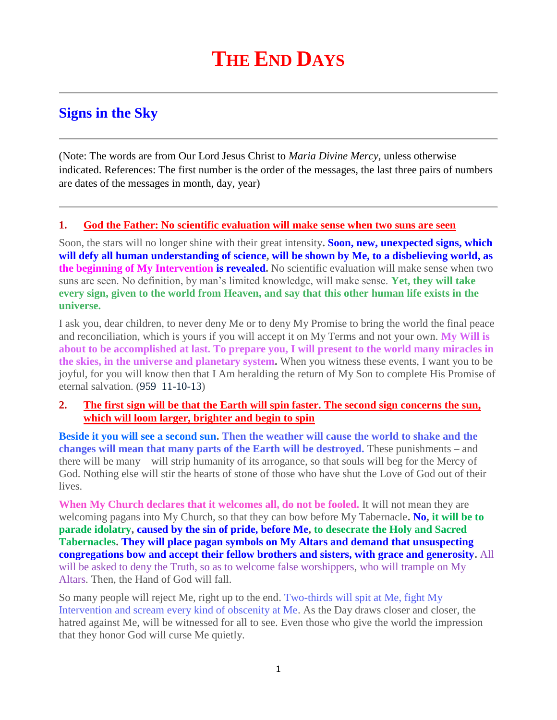# **Signs in the Sky**

(Note: The words are from Our Lord Jesus Christ to *Maria Divine Mercy*, unless otherwise indicated. References: The first number is the order of the messages, the last three pairs of numbers are dates of the messages in month, day, year)

### **1. [God the Father: No scientific evaluation will make sense when two suns are seen](http://www.thewarningsecondcoming.com/god-the-father-no-scientific-evaluation-will-make-sense-when-two-suns-are-seen/)**

Soon, the stars will no longer shine with their great intensity**. Soon, new, unexpected signs, which will defy all human understanding of science, will be shown by Me, to a disbelieving world, as the beginning of My Intervention is revealed.** No scientific evaluation will make sense when two suns are seen. No definition, by man's limited knowledge, will make sense. **Yet, they will take every sign, given to the world from Heaven, and say that this other human life exists in the universe.**

I ask you, dear children, to never deny Me or to deny My Promise to bring the world the final peace and reconciliation, which is yours if you will accept it on My Terms and not your own. **My Will is about to be accomplished at last. To prepare you, I will present to the world many miracles in the skies, in the universe and planetary system.** When you witness these events, I want you to be joyful, for you will know then that I Am heralding the return of My Son to complete His Promise of eternal salvation. (959 11-10-13)

### **2. [The first sign will be that the Earth will spin faster. The second sign concerns the sun,](http://www.thewarningsecondcoming.com/the-first-sign-will-be-that-the-earth-will-spin-faster-the-second-sign-concerns-the-sun-which-will-loom-larger-brighter-and-begin-to-spin/)  which will loom [larger, brighter and begin to spin](http://www.thewarningsecondcoming.com/the-first-sign-will-be-that-the-earth-will-spin-faster-the-second-sign-concerns-the-sun-which-will-loom-larger-brighter-and-begin-to-spin/)**

**Beside it you will see a second sun. Then the weather will cause the world to shake and the changes will mean that many parts of the Earth will be destroyed.** These punishments – and there will be many – will strip humanity of its arrogance, so that souls will beg for the Mercy of God. Nothing else will stir the hearts of stone of those who have shut the Love of God out of their lives.

**When My Church declares that it welcomes all, do not be fooled.** It will not mean they are welcoming pagans into My Church, so that they can bow before My Tabernacle**. No, it will be to parade idolatry, caused by the sin of pride, before Me, to desecrate the Holy and Sacred Tabernacles. They will place pagan symbols on My Altars and demand that unsuspecting congregations bow and accept their fellow brothers and sisters, with grace and generosity.** All will be asked to deny the Truth, so as to welcome false worshippers, who will trample on My Altars. Then, the Hand of God will fall.

So many people will reject Me, right up to the end. Two-thirds will spit at Me, fight My Intervention and scream every kind of obscenity at Me. As the Day draws closer and closer, the hatred against Me, will be witnessed for all to see. Even those who give the world the impression that they honor God will curse Me quietly.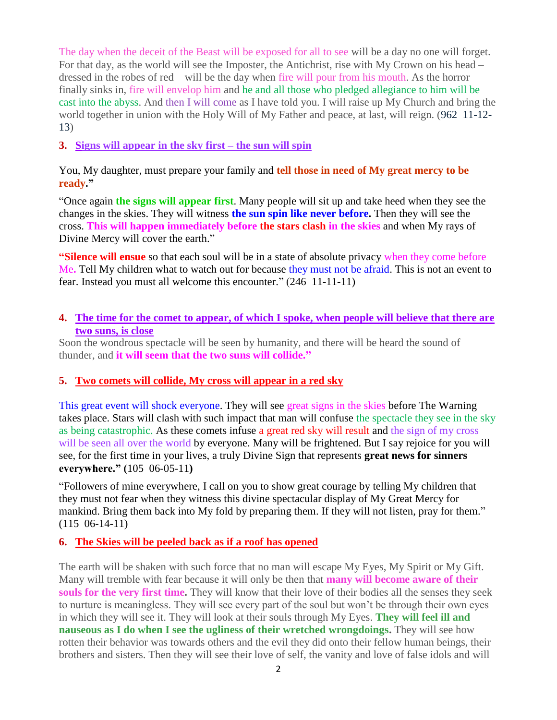The day when the deceit of the Beast will be exposed for all to see will be a day no one will forget. For that day, as the world will see the Imposter, the Antichrist, rise with My Crown on his head – dressed in the robes of red – will be the day when fire will pour from his mouth. As the horror finally sinks in, fire will envelop him and he and all those who pledged allegiance to him will be cast into the abyss. And then I will come as I have told you. I will raise up My Church and bring the world together in union with the Holy Will of My Father and peace, at last, will reign. (962 11-12- 13)

#### **3. [Signs will appear in the sky first –](http://www.thewarningsecondcoming.com/signs-will-appear-in-the-sky-first-the-sun-will-spin/) the sun will spin**

You, My daughter, must prepare your family and **tell those in need of My great mercy to be ready."**

"Once again **the signs will appear first**. Many people will sit up and take heed when they see the changes in the skies. They will witness **the sun spin like never before.** Then they will see the cross. **This will happen immediately before the stars clash in the skies** and when My rays of Divine Mercy will cover the earth."

**"Silence will ensue** so that each soul will be in a state of absolute privacy when they come before Me**.** Tell My children what to watch out for because they must not be afraid. This is not an event to fear. Instead you must all welcome this encounter." (246 11-11-11)

#### **4. [The time for the comet to appear, of which I spoke, when people will believe that there are](http://www.thewarningsecondcoming.com/the-time-for-the-comet-to-appear-of-which-i-spoke-when-people-will-believe-that-there-are-two-suns-is-close/)  [two suns, is close](http://www.thewarningsecondcoming.com/the-time-for-the-comet-to-appear-of-which-i-spoke-when-people-will-believe-that-there-are-two-suns-is-close/)**

Soon the wondrous spectacle will be seen by humanity, and there will be heard the sound of thunder, and **it will seem that the two suns will collide."**

#### **5. [Two comets will collide, My cross will appear in a red sky](http://www.thewarningsecondcoming.com/two-comets-will-collide-my-cross-will-appear-in-a-red-sky/)**

This great event will shock everyone. They will see great signs in the skies before The Warning takes place. Stars will clash with such impact that man will confuse the spectacle they see in the sky as being catastrophic. As these comets infuse a great red sky will result and the sign of my cross will be seen all over the world by everyone. Many will be frightened. But I say rejoice for you will see, for the first time in your lives, a truly Divine Sign that represents **great news for sinners everywhere." (**105 06-05-11**)**

"Followers of mine everywhere, I call on you to show great courage by telling My children that they must not fear when they witness this divine spectacular display of My Great Mercy for mankind. Bring them back into My fold by preparing them. If they will not listen, pray for them." (115 06-14-11)

#### **6. [The Skies will be peeled back as if a roof has opened](http://www.thewarningsecondcoming.com/the-skies-will-be-peeled-back-as-if-a-roof-has-opened/)**

The earth will be shaken with such force that no man will escape My Eyes, My Spirit or My Gift. Many will tremble with fear because it will only be then that **many will become aware of their souls for the very first time.** They will know that their love of their bodies all the senses they seek to nurture is meaningless. They will see every part of the soul but won't be through their own eyes in which they will see it. They will look at their souls through My Eyes. **They will feel ill and nauseous as I do when I see the ugliness of their wretched wrongdoings.** They will see how rotten their behavior was towards others and the evil they did onto their fellow human beings, their brothers and sisters. Then they will see their love of self, the vanity and love of false idols and will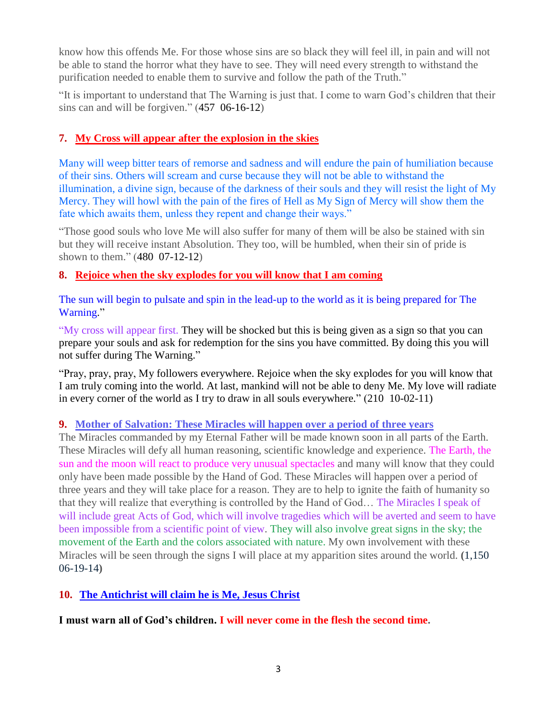know how this offends Me. For those whose sins are so black they will feel ill, in pain and will not be able to stand the horror what they have to see. They will need every strength to withstand the purification needed to enable them to survive and follow the path of the Truth."

"It is important to understand that The Warning is just that. I come to warn God's children that their sins can and will be forgiven."  $(457 \ 06-16-12)$ 

# **7. My Cross will appear after the explosion in the skies**

Many will weep bitter tears of remorse and sadness and will endure the pain of humiliation because of their sins. Others will scream and curse because they will not be able to withstand the illumination, a divine sign, because of the darkness of their souls and they will resist the light of My Mercy. They will howl with the pain of the fires of Hell as My Sign of Mercy will show them the fate which awaits them, unless they repent and change their ways."

"Those good souls who love Me will also suffer for many of them will be also be stained with sin but they will receive instant Absolution. They too, will be humbled, when their sin of pride is shown to them." (480 07-12-12)

# **8. [Rejoice when the sky explodes for you will know that I am coming](http://www.thewarningsecondcoming.com/rejoice-when-the-sky-explodes-for-you-will-know-that-i-am-coming/)**

The sun will begin to pulsate and spin in the lead-up to the world as it is being prepared for The Warning."

"My cross will appear first. They will be shocked but this is being given as a sign so that you can prepare your souls and ask for redemption for the sins you have committed. By doing this you will not suffer during The Warning."

"Pray, pray, pray, My followers everywhere. Rejoice when the sky explodes for you will know that I am truly coming into the world. At last, mankind will not be able to deny Me. My love will radiate in every corner of the world as I try to draw in all souls everywhere." (210 10-02-11)

### **9. [Mother of Salvation: These Miracles will happen over a period of three years](http://www.thewarningsecondcoming.com/mother-of-salvation-these-miracles-will-happen-over-a-period-of-three-years/)**

The Miracles commanded by my Eternal Father will be made known soon in all parts of the Earth. These Miracles will defy all human reasoning, scientific knowledge and experience. The Earth, the sun and the moon will react to produce very unusual spectacles and many will know that they could only have been made possible by the Hand of God. These Miracles will happen over a period of three years and they will take place for a reason. They are to help to ignite the faith of humanity so that they will realize that everything is controlled by the Hand of God… The Miracles I speak of will include great Acts of God, which will involve tragedies which will be averted and seem to have been impossible from a scientific point of view. They will also involve great signs in the sky; the movement of the Earth and the colors associated with nature. My own involvement with these Miracles will be seen through the signs I will place at my apparition sites around the world. **(**1,150 06-19-14**)**

# **10. [The Antichrist will claim he is Me, Jesus Christ](http://www.thewarningsecondcoming.com/the-antichrist-will-claim-he-is-me-jesus-christ/)**

**I must warn all of God's children. I will never come in the flesh the second time.**